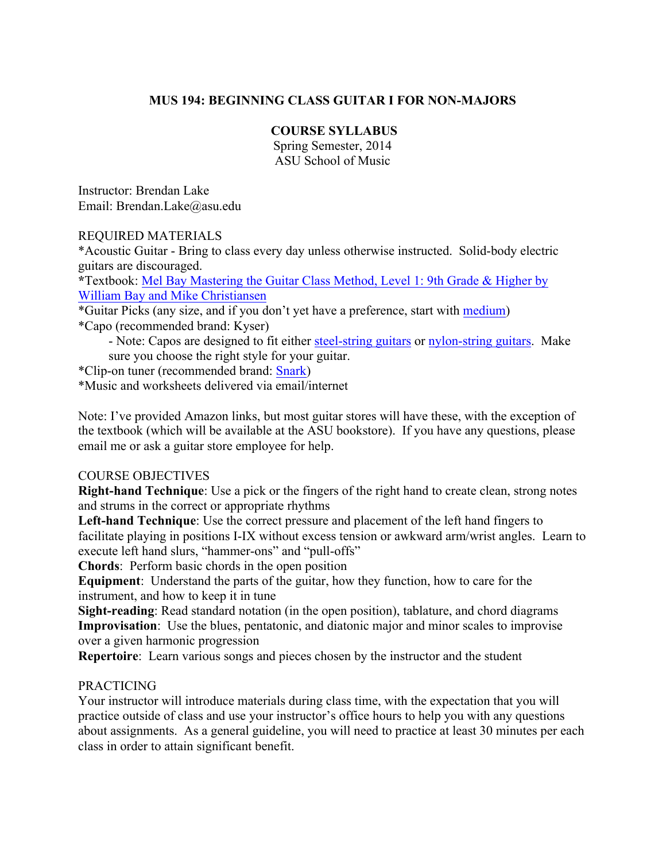# **MUS 194: BEGINNING CLASS GUITAR I FOR NON-MAJORS**

### **COURSE SYLLABUS**

Spring Semester, 2014 ASU School of Music

Instructor: Brendan Lake Email: Brendan.Lake@asu.edu

### REQUIRED MATERIALS

\*Acoustic Guitar - Bring to class every day unless otherwise instructed. Solid-body electric guitars are discouraged.

**\***Textbook: Mel Bay Mastering the Guitar Class Method, Level 1: 9th Grade & Higher by William Bay and Mike Christiansen

\*Guitar Picks (any size, and if you don't yet have a preference, start with medium) \*Capo (recommended brand: Kyser)

- Note: Capos are designed to fit either steel-string guitars or nylon-string guitars. Make sure you choose the right style for your guitar.

\*Clip-on tuner (recommended brand: Snark)

\*Music and worksheets delivered via email/internet

Note: I've provided Amazon links, but most guitar stores will have these, with the exception of the textbook (which will be available at the ASU bookstore). If you have any questions, please email me or ask a guitar store employee for help.

### COURSE OBJECTIVES

**Right-hand Technique**: Use a pick or the fingers of the right hand to create clean, strong notes and strums in the correct or appropriate rhythms

**Left-hand Technique**: Use the correct pressure and placement of the left hand fingers to facilitate playing in positions I-IX without excess tension or awkward arm/wrist angles. Learn to execute left hand slurs, "hammer-ons" and "pull-offs"

**Chords**: Perform basic chords in the open position

**Equipment**: Understand the parts of the guitar, how they function, how to care for the instrument, and how to keep it in tune

**Sight-reading**: Read standard notation (in the open position), tablature, and chord diagrams **Improvisation**: Use the blues, pentatonic, and diatonic major and minor scales to improvise over a given harmonic progression

**Repertoire**: Learn various songs and pieces chosen by the instructor and the student

### PRACTICING

Your instructor will introduce materials during class time, with the expectation that you will practice outside of class and use your instructor's office hours to help you with any questions about assignments. As a general guideline, you will need to practice at least 30 minutes per each class in order to attain significant benefit.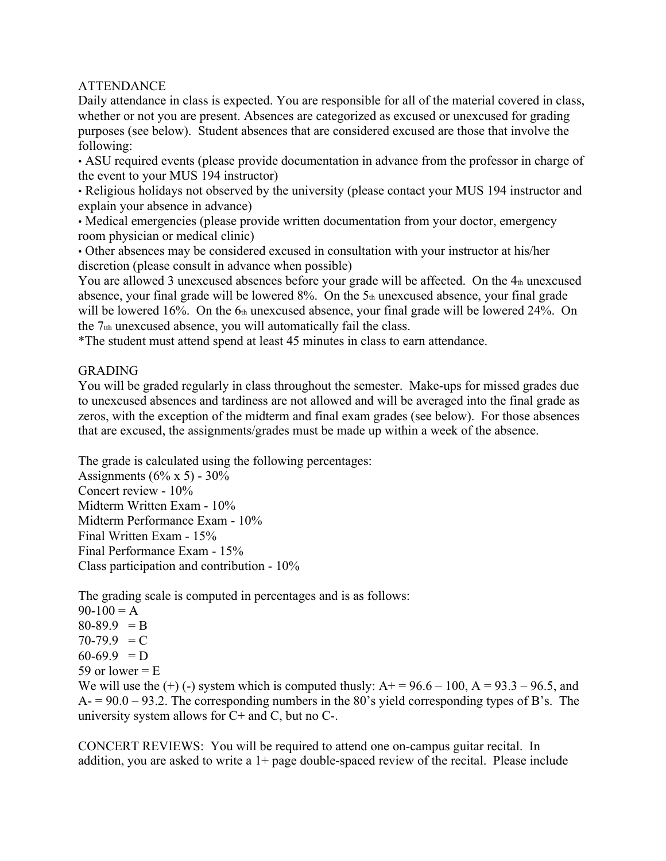# ATTENDANCE

Daily attendance in class is expected. You are responsible for all of the material covered in class, whether or not you are present. Absences are categorized as excused or unexcused for grading purposes (see below). Student absences that are considered excused are those that involve the following:

• ASU required events (please provide documentation in advance from the professor in charge of the event to your MUS 194 instructor)

• Religious holidays not observed by the university (please contact your MUS 194 instructor and explain your absence in advance)

• Medical emergencies (please provide written documentation from your doctor, emergency room physician or medical clinic)

• Other absences may be considered excused in consultation with your instructor at his/her discretion (please consult in advance when possible)

You are allowed 3 unexcused absences before your grade will be affected. On the 4th unexcused absence, your final grade will be lowered 8%. On the 5th unexcused absence, your final grade will be lowered 16%. On the 6th unexcused absence, your final grade will be lowered 24%. On the  $7<sub>th</sub>$  unexcused absence, you will automatically fail the class.

\*The student must attend spend at least 45 minutes in class to earn attendance.

# GRADING

You will be graded regularly in class throughout the semester. Make-ups for missed grades due to unexcused absences and tardiness are not allowed and will be averaged into the final grade as zeros, with the exception of the midterm and final exam grades (see below). For those absences that are excused, the assignments/grades must be made up within a week of the absence.

The grade is calculated using the following percentages:

Assignments ( $6\% \times 5$ ) - 30% Concert review - 10% Midterm Written Exam - 10% Midterm Performance Exam - 10% Final Written Exam - 15% Final Performance Exam - 15% Class participation and contribution - 10%

The grading scale is computed in percentages and is as follows:

 $90-100 = A$  $80-89.9 = B$  $70-79.9 = C$  $60-69.9$  = D 59 or lower  $=$  E

We will use the  $(+)$  (-) system which is computed thusly:  $A+ = 96.6 - 100$ ,  $A = 93.3 - 96.5$ , and  $A = 90.0 - 93.2$ . The corresponding numbers in the 80's yield corresponding types of B's. The university system allows for  $C+$  and  $C$ , but no  $C-$ .

CONCERT REVIEWS: You will be required to attend one on-campus guitar recital. In addition, you are asked to write a  $1+$  page double-spaced review of the recital. Please include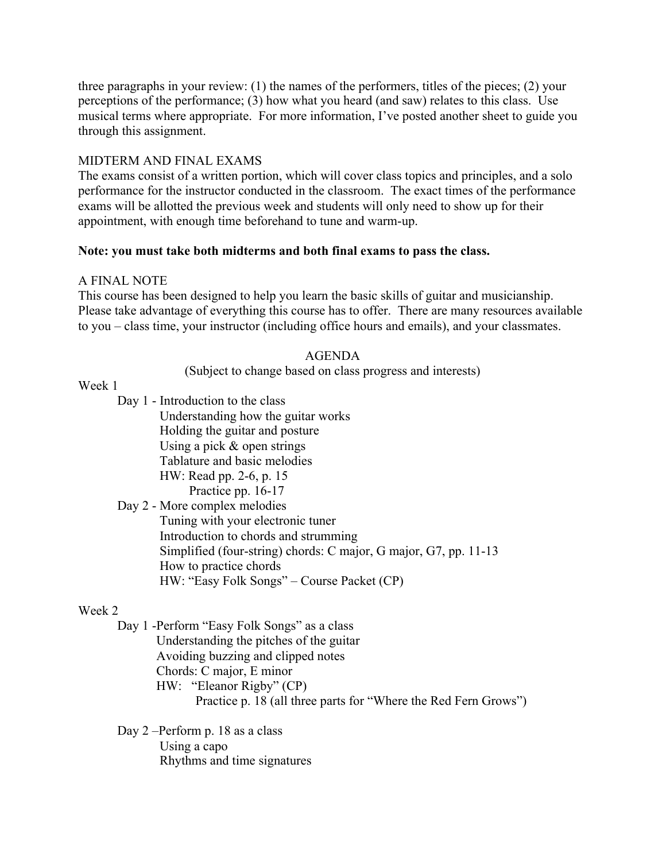three paragraphs in your review: (1) the names of the performers, titles of the pieces; (2) your perceptions of the performance; (3) how what you heard (and saw) relates to this class. Use musical terms where appropriate. For more information, I've posted another sheet to guide you through this assignment.

## MIDTERM AND FINAL EXAMS

The exams consist of a written portion, which will cover class topics and principles, and a solo performance for the instructor conducted in the classroom. The exact times of the performance exams will be allotted the previous week and students will only need to show up for their appointment, with enough time beforehand to tune and warm-up.

## **Note: you must take both midterms and both final exams to pass the class.**

### A FINAL NOTE

This course has been designed to help you learn the basic skills of guitar and musicianship. Please take advantage of everything this course has to offer. There are many resources available to you – class time, your instructor (including office hours and emails), and your classmates.

## AGENDA

(Subject to change based on class progress and interests)

### Week 1

Day 1 - Introduction to the class Understanding how the guitar works Holding the guitar and posture Using a pick  $&$  open strings Tablature and basic melodies HW: Read pp. 2-6, p. 15 Practice pp. 16-17 Day 2 - More complex melodies Tuning with your electronic tuner Introduction to chords and strumming Simplified (four-string) chords: C major, G major, G7, pp. 11-13

HW: "Easy Folk Songs" – Course Packet (CP)

### Week 2

Day 1 -Perform "Easy Folk Songs" as a class Understanding the pitches of the guitar Avoiding buzzing and clipped notes Chords: C major, E minor HW: "Eleanor Rigby" (CP) Practice p. 18 (all three parts for "Where the Red Fern Grows")

Day 2 –Perform p. 18 as a class Using a capo Rhythms and time signatures

How to practice chords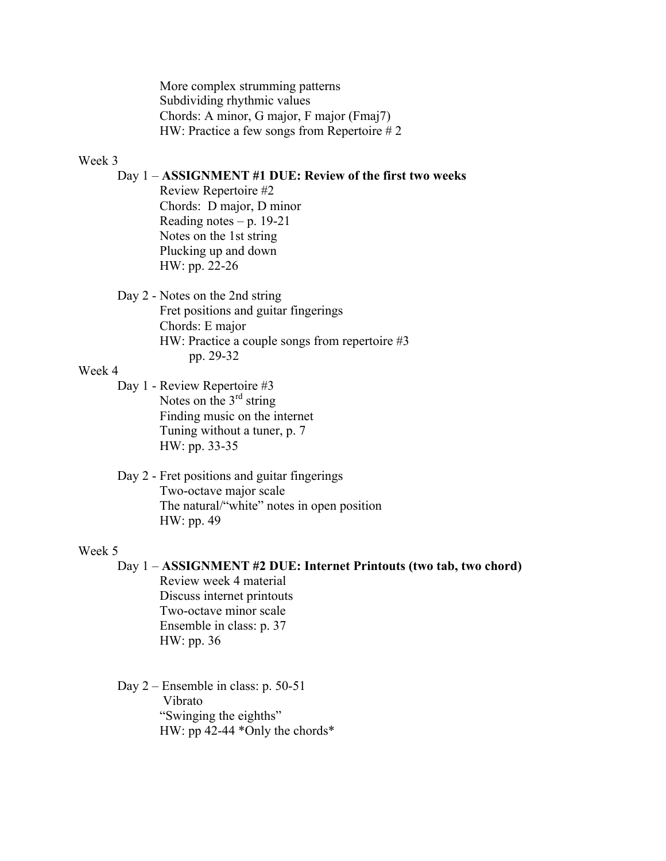More complex strumming patterns Subdividing rhythmic values Chords: A minor, G major, F major (Fmaj7) HW: Practice a few songs from Repertoire # 2

#### Week 3

# Day 1 – **ASSIGNMENT #1 DUE: Review of the first two weeks**

Review Repertoire #2 Chords: D major, D minor Reading notes –  $p. 19-21$ Notes on the 1st string Plucking up and down HW: pp. 22-26

Day 2 - Notes on the 2nd string Fret positions and guitar fingerings Chords: E major HW: Practice a couple songs from repertoire #3 pp. 29-32

### Week 4

Day 1 - Review Repertoire #3 Notes on the  $3<sup>rd</sup>$  string Finding music on the internet Tuning without a tuner, p. 7 HW: pp. 33-35

Day 2 - Fret positions and guitar fingerings Two-octave major scale The natural/"white" notes in open position HW: pp. 49

### Week 5

Day 1 – **ASSIGNMENT #2 DUE: Internet Printouts (two tab, two chord)** Review week 4 material Discuss internet printouts Two-octave minor scale Ensemble in class: p. 37 HW: pp. 36

Day 2 – Ensemble in class: p. 50-51 Vibrato "Swinging the eighths" HW: pp 42-44 \*Only the chords\*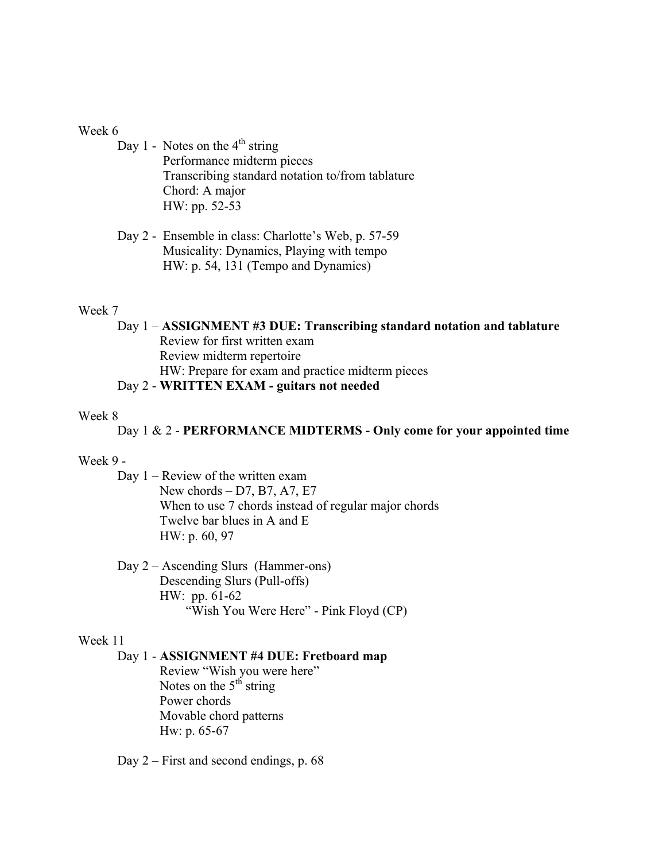#### Week 6

Day 1 - Notes on the  $4<sup>th</sup>$  string Performance midterm pieces Transcribing standard notation to/from tablature Chord: A major HW: pp. 52-53

Day 2 - Ensemble in class: Charlotte's Web, p. 57-59 Musicality: Dynamics, Playing with tempo HW: p. 54, 131 (Tempo and Dynamics)

### Week 7

Day 1 – **ASSIGNMENT #3 DUE: Transcribing standard notation and tablature** Review for first written exam Review midterm repertoire HW: Prepare for exam and practice midterm pieces Day 2 - **WRITTEN EXAM - guitars not needed**

#### Week 8

Day 1 & 2 - **PERFORMANCE MIDTERMS - Only come for your appointed time**

#### Week 9 -

Day 1 – Review of the written exam New chords – D7, B7, A7, E7 When to use 7 chords instead of regular major chords Twelve bar blues in A and E HW: p. 60, 97

Day 2 – Ascending Slurs (Hammer-ons) Descending Slurs (Pull-offs) HW: pp. 61-62 "Wish You Were Here" - Pink Floyd (CP)

#### Week 11

### Day 1 - **ASSIGNMENT #4 DUE: Fretboard map**

Review "Wish you were here" Notes on the  $5<sup>th</sup>$  string Power chords Movable chord patterns Hw: p. 65-67

Day 2 – First and second endings, p. 68